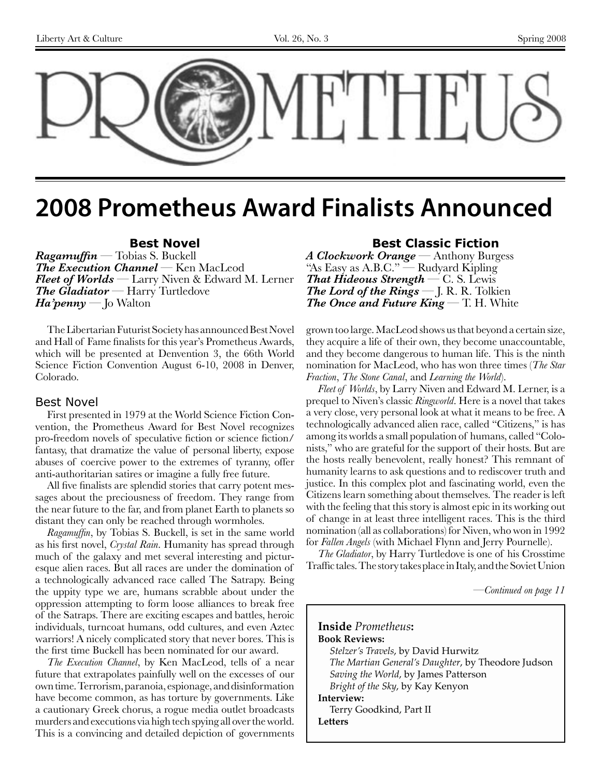

# **2008 Prometheus Award Finalists Announced**

### **Best Novel**

*Ragamuffin* — Tobias S. Buckell *The Execution Channel* — Ken MacLeod *Fleet of Worlds* — Larry Niven & Edward M. Lerner *The Gladiator* — Harry Turtledove *Ha'penny* — Jo Walton

The Libertarian Futurist Society has announced Best Novel and Hall of Fame finalists for this year's Prometheus Awards, which will be presented at Denvention 3, the 66th World Science Fiction Convention August 6-10, 2008 in Denver, Colorado.

#### Best Novel

First presented in 1979 at the World Science Fiction Convention, the Prometheus Award for Best Novel recognizes pro-freedom novels of speculative fiction or science fiction/ fantasy, that dramatize the value of personal liberty, expose abuses of coercive power to the extremes of tyranny, offer anti-authoritarian satires or imagine a fully free future.

All five finalists are splendid stories that carry potent messages about the preciousness of freedom. They range from the near future to the far, and from planet Earth to planets so distant they can only be reached through wormholes.

*Ragamuffin*, by Tobias S. Buckell, is set in the same world as his first novel, *Crystal Rain*. Humanity has spread through much of the galaxy and met several interesting and picturesque alien races. But all races are under the domination of a technologically advanced race called The Satrapy. Being the uppity type we are, humans scrabble about under the oppression attempting to form loose alliances to break free of the Satraps. There are exciting escapes and battles, heroic individuals, turncoat humans, odd cultures, and even Aztec warriors! A nicely complicated story that never bores. This is the first time Buckell has been nominated for our award.

*The Execution Channel*, by Ken MacLeod, tells of a near future that extrapolates painfully well on the excesses of our own time. Terrorism, paranoia, espionage, and disinformation have become common, as has torture by governments. Like a cautionary Greek chorus, a rogue media outlet broadcasts murders and executions via high tech spying all over the world. This is a convincing and detailed depiction of governments

#### **Best Classic Fiction**

*A Clockwork Orange —* Anthony Burgess "As Easy as A.B.C." — Rudyard Kipling *That Hideous Strength —* C. S. Lewis *The Lord of the Rings —* J. R. R. Tolkien *The Once and Future King —* T. H. White

grown too large. MacLeod shows us that beyond a certain size, they acquire a life of their own, they become unaccountable, and they become dangerous to human life. This is the ninth nomination for MacLeod, who has won three times (*The Star Fraction*, *The Stone Canal*, and *Learning the World*).

*Fleet of Worlds*, by Larry Niven and Edward M. Lerner, is a prequel to Niven's classic *Ringworld*. Here is a novel that takes a very close, very personal look at what it means to be free. A technologically advanced alien race, called "Citizens," is has among its worlds a small population of humans, called "Colonists," who are grateful for the support of their hosts. But are the hosts really benevolent, really honest? This remnant of humanity learns to ask questions and to rediscover truth and justice. In this complex plot and fascinating world, even the Citizens learn something about themselves. The reader is left with the feeling that this story is almost epic in its working out of change in at least three intelligent races. This is the third nomination (all as collaborations) for Niven, who won in 1992 for *Fallen Angels* (with Michael Flynn and Jerry Pournelle).

*The Gladiator*, by Harry Turtledove is one of his Crosstime Traffic tales. The story takes place in Italy, and the Soviet Union

*—Continued on page 11*

**Inside** *Prometheus***: Book Reviews:** *Stelzer's Travels*, by David Hurwitz *The Martian General's Daughter*, by Theodore Judson *Saving the World*, by James Patterson *Bright of the Sky*, by Kay Kenyon **Interview:**  Terry Goodkind, Part II **Letters**